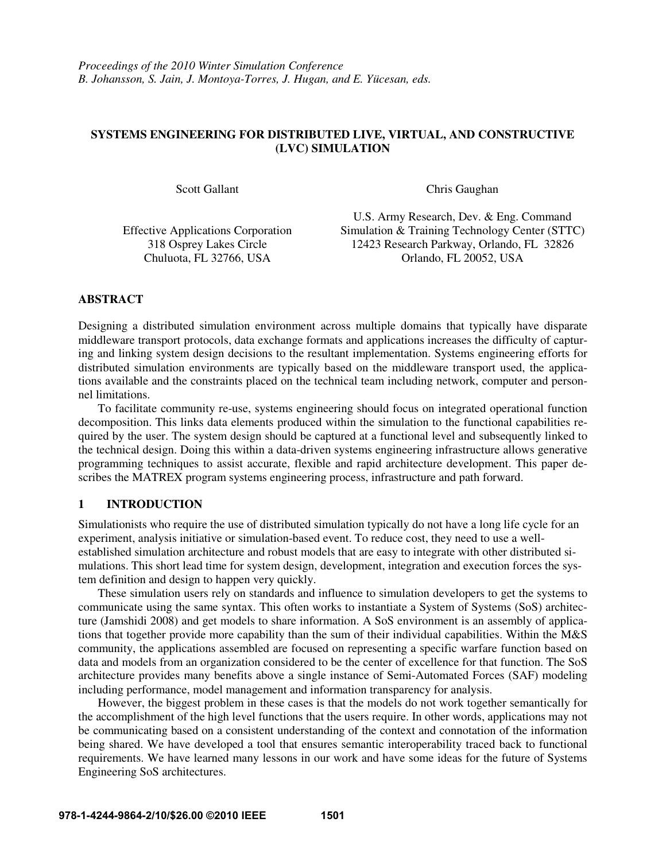# **SYSTEMS ENGINEERING FOR DISTRIBUTED LIVE, VIRTUAL, AND CONSTRUCTIVE (LVC) SIMULATION**

Scott Gallant Chris Gaughan

Chuluota, FL 32766, USA

U.S. Army Research, Dev. & Eng. Command Effective Applications Corporation Simulation & Training Technology Center (STTC) 318 Osprey Lakes Circle 12423 Research Parkway, Orlando, FL 32826<br>Chuluota. FL 32766. USA Orlando. FL 20052. USA

# **ABSTRACT**

Designing a distributed simulation environment across multiple domains that typically have disparate middleware transport protocols, data exchange formats and applications increases the difficulty of capturing and linking system design decisions to the resultant implementation. Systems engineering efforts for distributed simulation environments are typically based on the middleware transport used, the applications available and the constraints placed on the technical team including network, computer and personnel limitations.

 To facilitate community re-use, systems engineering should focus on integrated operational function decomposition. This links data elements produced within the simulation to the functional capabilities required by the user. The system design should be captured at a functional level and subsequently linked to the technical design. Doing this within a data-driven systems engineering infrastructure allows generative programming techniques to assist accurate, flexible and rapid architecture development. This paper describes the MATREX program systems engineering process, infrastructure and path forward.

## **1 INTRODUCTION**

Simulationists who require the use of distributed simulation typically do not have a long life cycle for an experiment, analysis initiative or simulation-based event. To reduce cost, they need to use a wellestablished simulation architecture and robust models that are easy to integrate with other distributed simulations. This short lead time for system design, development, integration and execution forces the system definition and design to happen very quickly.

These simulation users rely on standards and influence to simulation developers to get the systems to communicate using the same syntax. This often works to instantiate a System of Systems (SoS) architecture (Jamshidi 2008) and get models to share information. A SoS environment is an assembly of applications that together provide more capability than the sum of their individual capabilities. Within the M&S community, the applications assembled are focused on representing a specific warfare function based on data and models from an organization considered to be the center of excellence for that function. The SoS architecture provides many benefits above a single instance of Semi-Automated Forces (SAF) modeling including performance, model management and information transparency for analysis.

However, the biggest problem in these cases is that the models do not work together semantically for the accomplishment of the high level functions that the users require. In other words, applications may not be communicating based on a consistent understanding of the context and connotation of the information being shared. We have developed a tool that ensures semantic interoperability traced back to functional requirements. We have learned many lessons in our work and have some ideas for the future of Systems Engineering SoS architectures.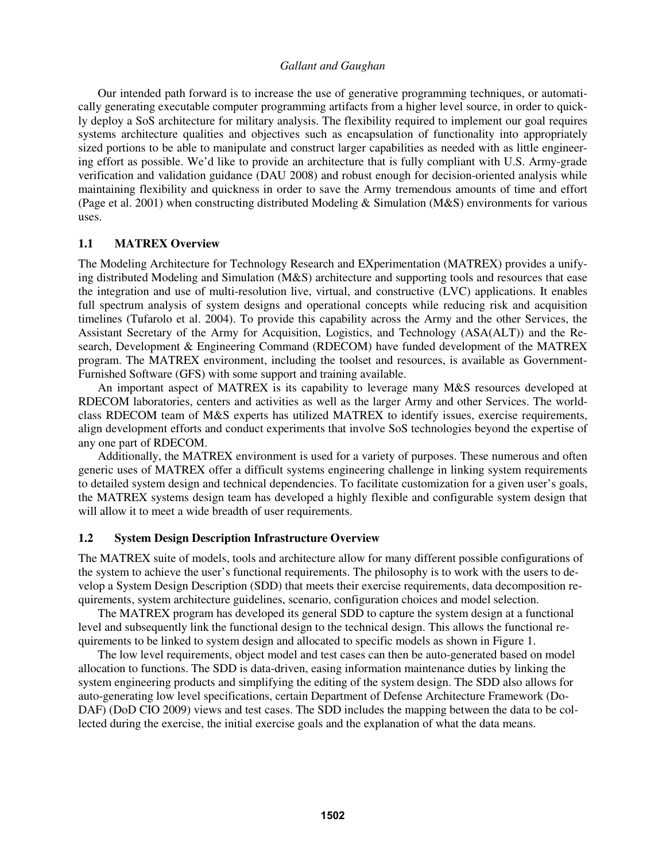Our intended path forward is to increase the use of generative programming techniques, or automatically generating executable computer programming artifacts from a higher level source, in order to quickly deploy a SoS architecture for military analysis. The flexibility required to implement our goal requires systems architecture qualities and objectives such as encapsulation of functionality into appropriately sized portions to be able to manipulate and construct larger capabilities as needed with as little engineering effort as possible. We'd like to provide an architecture that is fully compliant with U.S. Army-grade verification and validation guidance (DAU 2008) and robust enough for decision-oriented analysis while maintaining flexibility and quickness in order to save the Army tremendous amounts of time and effort (Page et al. 2001) when constructing distributed Modeling & Simulation (M&S) environments for various uses.

## **1.1 MATREX Overview**

The Modeling Architecture for Technology Research and EXperimentation (MATREX) provides a unifying distributed Modeling and Simulation (M&S) architecture and supporting tools and resources that ease the integration and use of multi-resolution live, virtual, and constructive (LVC) applications. It enables full spectrum analysis of system designs and operational concepts while reducing risk and acquisition timelines (Tufarolo et al. 2004). To provide this capability across the Army and the other Services, the Assistant Secretary of the Army for Acquisition, Logistics, and Technology (ASA(ALT)) and the Research, Development & Engineering Command (RDECOM) have funded development of the MATREX program. The MATREX environment, including the toolset and resources, is available as Government-Furnished Software (GFS) with some support and training available.

An important aspect of MATREX is its capability to leverage many M&S resources developed at RDECOM laboratories, centers and activities as well as the larger Army and other Services. The worldclass RDECOM team of M&S experts has utilized MATREX to identify issues, exercise requirements, align development efforts and conduct experiments that involve SoS technologies beyond the expertise of any one part of RDECOM.

Additionally, the MATREX environment is used for a variety of purposes. These numerous and often generic uses of MATREX offer a difficult systems engineering challenge in linking system requirements to detailed system design and technical dependencies. To facilitate customization for a given user's goals, the MATREX systems design team has developed a highly flexible and configurable system design that will allow it to meet a wide breadth of user requirements.

## **1.2 System Design Description Infrastructure Overview**

The MATREX suite of models, tools and architecture allow for many different possible configurations of the system to achieve the user's functional requirements. The philosophy is to work with the users to develop a System Design Description (SDD) that meets their exercise requirements, data decomposition requirements, system architecture guidelines, scenario, configuration choices and model selection.

The MATREX program has developed its general SDD to capture the system design at a functional level and subsequently link the functional design to the technical design. This allows the functional requirements to be linked to system design and allocated to specific models as shown in Figure 1.

The low level requirements, object model and test cases can then be auto-generated based on model allocation to functions. The SDD is data-driven, easing information maintenance duties by linking the system engineering products and simplifying the editing of the system design. The SDD also allows for auto-generating low level specifications, certain Department of Defense Architecture Framework (Do-DAF) (DoD CIO 2009) views and test cases. The SDD includes the mapping between the data to be collected during the exercise, the initial exercise goals and the explanation of what the data means.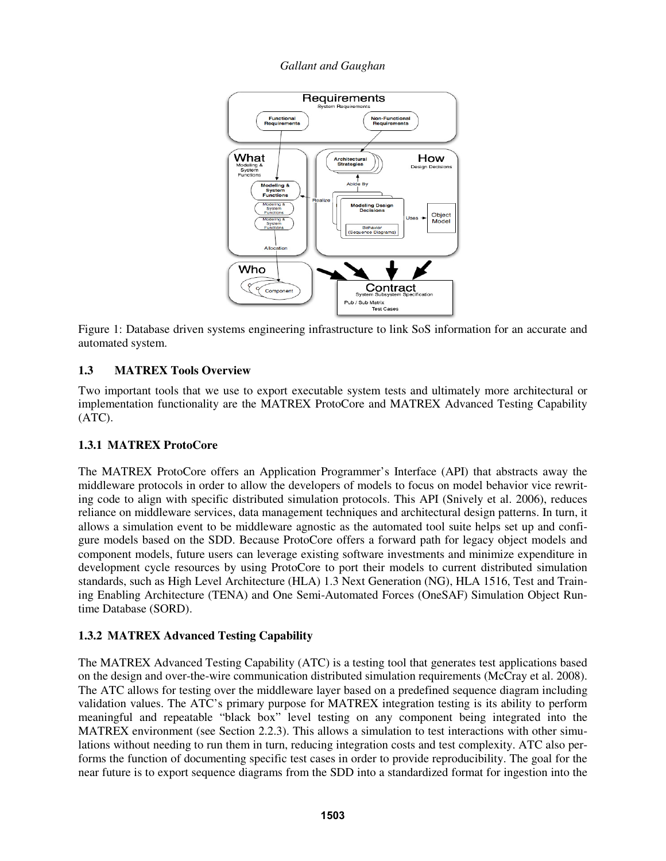

Figure 1: Database driven systems engineering infrastructure to link SoS information for an accurate and automated system.

# **1.3 MATREX Tools Overview**

Two important tools that we use to export executable system tests and ultimately more architectural or implementation functionality are the MATREX ProtoCore and MATREX Advanced Testing Capability (ATC).

# **1.3.1 MATREX ProtoCore**

The MATREX ProtoCore offers an Application Programmer's Interface (API) that abstracts away the middleware protocols in order to allow the developers of models to focus on model behavior vice rewriting code to align with specific distributed simulation protocols. This API (Snively et al. 2006), reduces reliance on middleware services, data management techniques and architectural design patterns. In turn, it allows a simulation event to be middleware agnostic as the automated tool suite helps set up and configure models based on the SDD. Because ProtoCore offers a forward path for legacy object models and component models, future users can leverage existing software investments and minimize expenditure in development cycle resources by using ProtoCore to port their models to current distributed simulation standards, such as High Level Architecture (HLA) 1.3 Next Generation (NG), HLA 1516, Test and Training Enabling Architecture (TENA) and One Semi-Automated Forces (OneSAF) Simulation Object Runtime Database (SORD).

# **1.3.2 MATREX Advanced Testing Capability**

The MATREX Advanced Testing Capability (ATC) is a testing tool that generates test applications based on the design and over-the-wire communication distributed simulation requirements (McCray et al. 2008). The ATC allows for testing over the middleware layer based on a predefined sequence diagram including validation values. The ATC's primary purpose for MATREX integration testing is its ability to perform meaningful and repeatable "black box" level testing on any component being integrated into the MATREX environment (see Section 2.2.3). This allows a simulation to test interactions with other simulations without needing to run them in turn, reducing integration costs and test complexity. ATC also performs the function of documenting specific test cases in order to provide reproducibility. The goal for the near future is to export sequence diagrams from the SDD into a standardized format for ingestion into the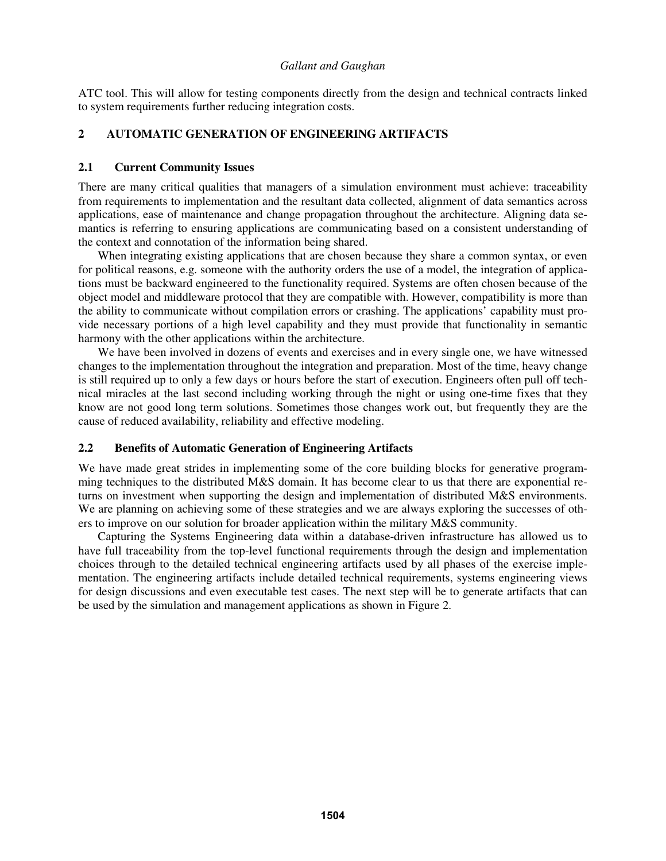ATC tool. This will allow for testing components directly from the design and technical contracts linked to system requirements further reducing integration costs.

# **2 AUTOMATIC GENERATION OF ENGINEERING ARTIFACTS**

## **2.1 Current Community Issues**

There are many critical qualities that managers of a simulation environment must achieve: traceability from requirements to implementation and the resultant data collected, alignment of data semantics across applications, ease of maintenance and change propagation throughout the architecture. Aligning data semantics is referring to ensuring applications are communicating based on a consistent understanding of the context and connotation of the information being shared.

When integrating existing applications that are chosen because they share a common syntax, or even for political reasons, e.g. someone with the authority orders the use of a model, the integration of applications must be backward engineered to the functionality required. Systems are often chosen because of the object model and middleware protocol that they are compatible with. However, compatibility is more than the ability to communicate without compilation errors or crashing. The applications' capability must provide necessary portions of a high level capability and they must provide that functionality in semantic harmony with the other applications within the architecture.

We have been involved in dozens of events and exercises and in every single one, we have witnessed changes to the implementation throughout the integration and preparation. Most of the time, heavy change is still required up to only a few days or hours before the start of execution. Engineers often pull off technical miracles at the last second including working through the night or using one-time fixes that they know are not good long term solutions. Sometimes those changes work out, but frequently they are the cause of reduced availability, reliability and effective modeling.

## **2.2 Benefits of Automatic Generation of Engineering Artifacts**

We have made great strides in implementing some of the core building blocks for generative programming techniques to the distributed M&S domain. It has become clear to us that there are exponential returns on investment when supporting the design and implementation of distributed M&S environments. We are planning on achieving some of these strategies and we are always exploring the successes of others to improve on our solution for broader application within the military M&S community.

Capturing the Systems Engineering data within a database-driven infrastructure has allowed us to have full traceability from the top-level functional requirements through the design and implementation choices through to the detailed technical engineering artifacts used by all phases of the exercise implementation. The engineering artifacts include detailed technical requirements, systems engineering views for design discussions and even executable test cases. The next step will be to generate artifacts that can be used by the simulation and management applications as shown in Figure 2.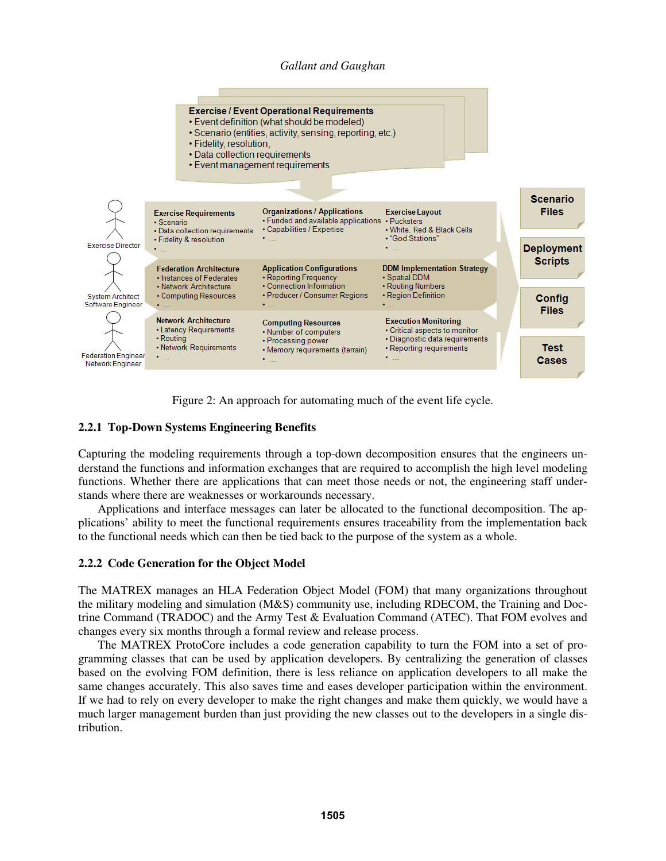

Figure 2: An approach for automating much of the event life cycle.

# **2.2.1 Top-Down Systems Engineering Benefits**

Capturing the modeling requirements through a top-down decomposition ensures that the engineers understand the functions and information exchanges that are required to accomplish the high level modeling functions. Whether there are applications that can meet those needs or not, the engineering staff understands where there are weaknesses or workarounds necessary.

Applications and interface messages can later be allocated to the functional decomposition. The applications' ability to meet the functional requirements ensures traceability from the implementation back to the functional needs which can then be tied back to the purpose of the system as a whole.

### **2.2.2 Code Generation for the Object Model**

The MATREX manages an HLA Federation Object Model (FOM) that many organizations throughout the military modeling and simulation (M&S) community use, including RDECOM, the Training and Doctrine Command (TRADOC) and the Army Test & Evaluation Command (ATEC). That FOM evolves and changes every six months through a formal review and release process.

The MATREX ProtoCore includes a code generation capability to turn the FOM into a set of programming classes that can be used by application developers. By centralizing the generation of classes based on the evolving FOM definition, there is less reliance on application developers to all make the same changes accurately. This also saves time and eases developer participation within the environment. If we had to rely on every developer to make the right changes and make them quickly, we would have a much larger management burden than just providing the new classes out to the developers in a single distribution.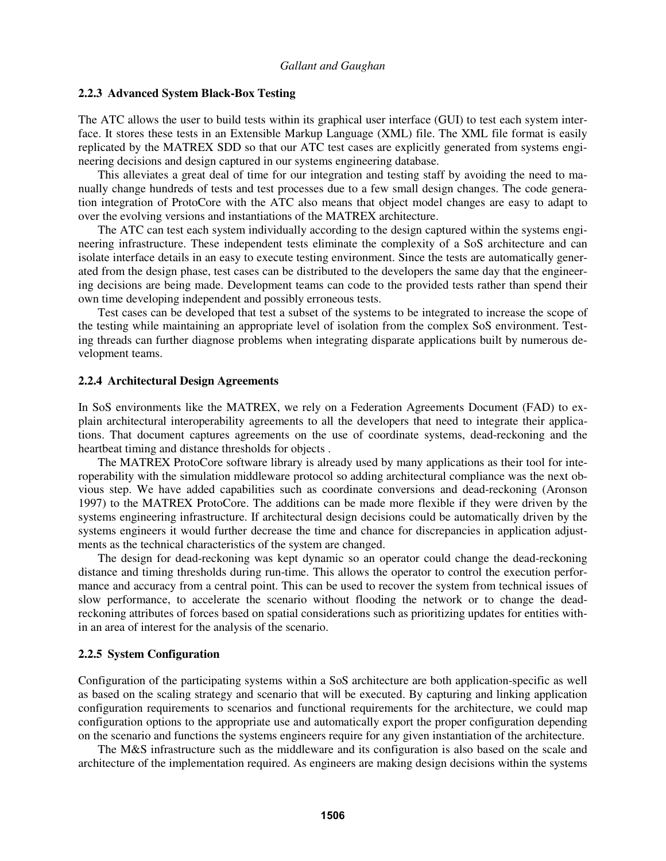#### **2.2.3 Advanced System Black-Box Testing**

The ATC allows the user to build tests within its graphical user interface (GUI) to test each system interface. It stores these tests in an Extensible Markup Language (XML) file. The XML file format is easily replicated by the MATREX SDD so that our ATC test cases are explicitly generated from systems engineering decisions and design captured in our systems engineering database.

This alleviates a great deal of time for our integration and testing staff by avoiding the need to manually change hundreds of tests and test processes due to a few small design changes. The code generation integration of ProtoCore with the ATC also means that object model changes are easy to adapt to over the evolving versions and instantiations of the MATREX architecture.

The ATC can test each system individually according to the design captured within the systems engineering infrastructure. These independent tests eliminate the complexity of a SoS architecture and can isolate interface details in an easy to execute testing environment. Since the tests are automatically generated from the design phase, test cases can be distributed to the developers the same day that the engineering decisions are being made. Development teams can code to the provided tests rather than spend their own time developing independent and possibly erroneous tests.

Test cases can be developed that test a subset of the systems to be integrated to increase the scope of the testing while maintaining an appropriate level of isolation from the complex SoS environment. Testing threads can further diagnose problems when integrating disparate applications built by numerous development teams.

#### **2.2.4 Architectural Design Agreements**

In SoS environments like the MATREX, we rely on a Federation Agreements Document (FAD) to explain architectural interoperability agreements to all the developers that need to integrate their applications. That document captures agreements on the use of coordinate systems, dead-reckoning and the heartbeat timing and distance thresholds for objects .

The MATREX ProtoCore software library is already used by many applications as their tool for interoperability with the simulation middleware protocol so adding architectural compliance was the next obvious step. We have added capabilities such as coordinate conversions and dead-reckoning (Aronson 1997) to the MATREX ProtoCore. The additions can be made more flexible if they were driven by the systems engineering infrastructure. If architectural design decisions could be automatically driven by the systems engineers it would further decrease the time and chance for discrepancies in application adjustments as the technical characteristics of the system are changed.

The design for dead-reckoning was kept dynamic so an operator could change the dead-reckoning distance and timing thresholds during run-time. This allows the operator to control the execution performance and accuracy from a central point. This can be used to recover the system from technical issues of slow performance, to accelerate the scenario without flooding the network or to change the deadreckoning attributes of forces based on spatial considerations such as prioritizing updates for entities within an area of interest for the analysis of the scenario.

### **2.2.5 System Configuration**

Configuration of the participating systems within a SoS architecture are both application-specific as well as based on the scaling strategy and scenario that will be executed. By capturing and linking application configuration requirements to scenarios and functional requirements for the architecture, we could map configuration options to the appropriate use and automatically export the proper configuration depending on the scenario and functions the systems engineers require for any given instantiation of the architecture.

The M&S infrastructure such as the middleware and its configuration is also based on the scale and architecture of the implementation required. As engineers are making design decisions within the systems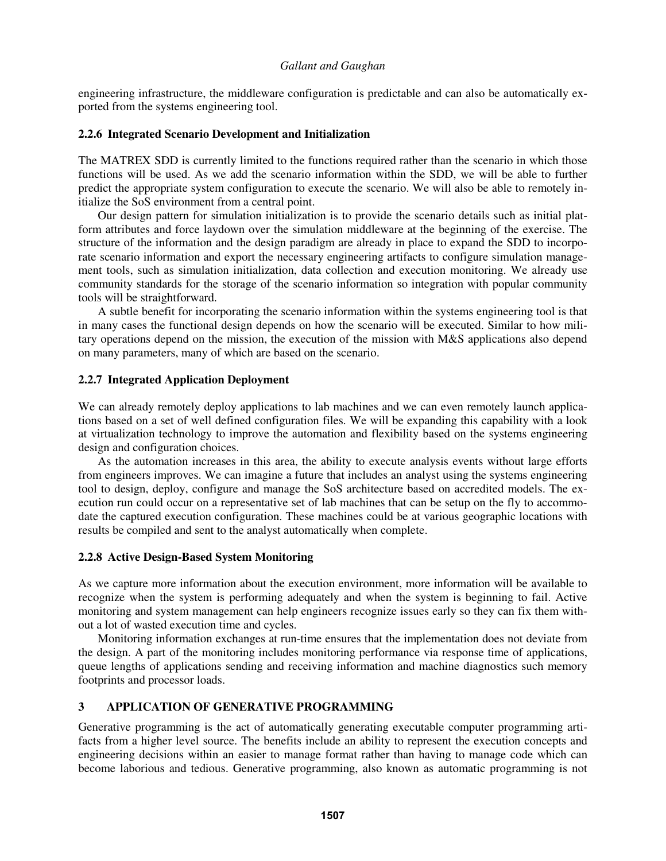engineering infrastructure, the middleware configuration is predictable and can also be automatically exported from the systems engineering tool.

### **2.2.6 Integrated Scenario Development and Initialization**

The MATREX SDD is currently limited to the functions required rather than the scenario in which those functions will be used. As we add the scenario information within the SDD, we will be able to further predict the appropriate system configuration to execute the scenario. We will also be able to remotely initialize the SoS environment from a central point.

Our design pattern for simulation initialization is to provide the scenario details such as initial platform attributes and force laydown over the simulation middleware at the beginning of the exercise. The structure of the information and the design paradigm are already in place to expand the SDD to incorporate scenario information and export the necessary engineering artifacts to configure simulation management tools, such as simulation initialization, data collection and execution monitoring. We already use community standards for the storage of the scenario information so integration with popular community tools will be straightforward.

A subtle benefit for incorporating the scenario information within the systems engineering tool is that in many cases the functional design depends on how the scenario will be executed. Similar to how military operations depend on the mission, the execution of the mission with M&S applications also depend on many parameters, many of which are based on the scenario.

## **2.2.7 Integrated Application Deployment**

We can already remotely deploy applications to lab machines and we can even remotely launch applications based on a set of well defined configuration files. We will be expanding this capability with a look at virtualization technology to improve the automation and flexibility based on the systems engineering design and configuration choices.

 As the automation increases in this area, the ability to execute analysis events without large efforts from engineers improves. We can imagine a future that includes an analyst using the systems engineering tool to design, deploy, configure and manage the SoS architecture based on accredited models. The execution run could occur on a representative set of lab machines that can be setup on the fly to accommodate the captured execution configuration. These machines could be at various geographic locations with results be compiled and sent to the analyst automatically when complete.

## **2.2.8 Active Design-Based System Monitoring**

As we capture more information about the execution environment, more information will be available to recognize when the system is performing adequately and when the system is beginning to fail. Active monitoring and system management can help engineers recognize issues early so they can fix them without a lot of wasted execution time and cycles.

 Monitoring information exchanges at run-time ensures that the implementation does not deviate from the design. A part of the monitoring includes monitoring performance via response time of applications, queue lengths of applications sending and receiving information and machine diagnostics such memory footprints and processor loads.

## **3 APPLICATION OF GENERATIVE PROGRAMMING**

Generative programming is the act of automatically generating executable computer programming artifacts from a higher level source. The benefits include an ability to represent the execution concepts and engineering decisions within an easier to manage format rather than having to manage code which can become laborious and tedious. Generative programming, also known as automatic programming is not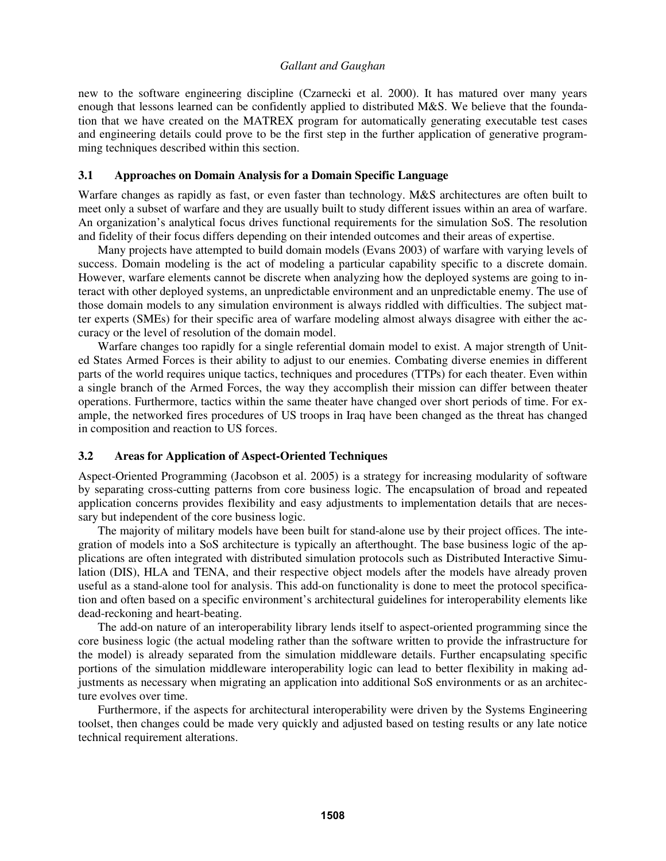new to the software engineering discipline (Czarnecki et al. 2000). It has matured over many years enough that lessons learned can be confidently applied to distributed M&S. We believe that the foundation that we have created on the MATREX program for automatically generating executable test cases and engineering details could prove to be the first step in the further application of generative programming techniques described within this section.

### **3.1 Approaches on Domain Analysis for a Domain Specific Language**

Warfare changes as rapidly as fast, or even faster than technology. M&S architectures are often built to meet only a subset of warfare and they are usually built to study different issues within an area of warfare. An organization's analytical focus drives functional requirements for the simulation SoS. The resolution and fidelity of their focus differs depending on their intended outcomes and their areas of expertise.

 Many projects have attempted to build domain models (Evans 2003) of warfare with varying levels of success. Domain modeling is the act of modeling a particular capability specific to a discrete domain. However, warfare elements cannot be discrete when analyzing how the deployed systems are going to interact with other deployed systems, an unpredictable environment and an unpredictable enemy. The use of those domain models to any simulation environment is always riddled with difficulties. The subject matter experts (SMEs) for their specific area of warfare modeling almost always disagree with either the accuracy or the level of resolution of the domain model.

 Warfare changes too rapidly for a single referential domain model to exist. A major strength of United States Armed Forces is their ability to adjust to our enemies. Combating diverse enemies in different parts of the world requires unique tactics, techniques and procedures (TTPs) for each theater. Even within a single branch of the Armed Forces, the way they accomplish their mission can differ between theater operations. Furthermore, tactics within the same theater have changed over short periods of time. For example, the networked fires procedures of US troops in Iraq have been changed as the threat has changed in composition and reaction to US forces.

## **3.2 Areas for Application of Aspect-Oriented Techniques**

Aspect-Oriented Programming (Jacobson et al. 2005) is a strategy for increasing modularity of software by separating cross-cutting patterns from core business logic. The encapsulation of broad and repeated application concerns provides flexibility and easy adjustments to implementation details that are necessary but independent of the core business logic.

The majority of military models have been built for stand-alone use by their project offices. The integration of models into a SoS architecture is typically an afterthought. The base business logic of the applications are often integrated with distributed simulation protocols such as Distributed Interactive Simulation (DIS), HLA and TENA, and their respective object models after the models have already proven useful as a stand-alone tool for analysis. This add-on functionality is done to meet the protocol specification and often based on a specific environment's architectural guidelines for interoperability elements like dead-reckoning and heart-beating.

The add-on nature of an interoperability library lends itself to aspect-oriented programming since the core business logic (the actual modeling rather than the software written to provide the infrastructure for the model) is already separated from the simulation middleware details. Further encapsulating specific portions of the simulation middleware interoperability logic can lead to better flexibility in making adjustments as necessary when migrating an application into additional SoS environments or as an architecture evolves over time.

Furthermore, if the aspects for architectural interoperability were driven by the Systems Engineering toolset, then changes could be made very quickly and adjusted based on testing results or any late notice technical requirement alterations.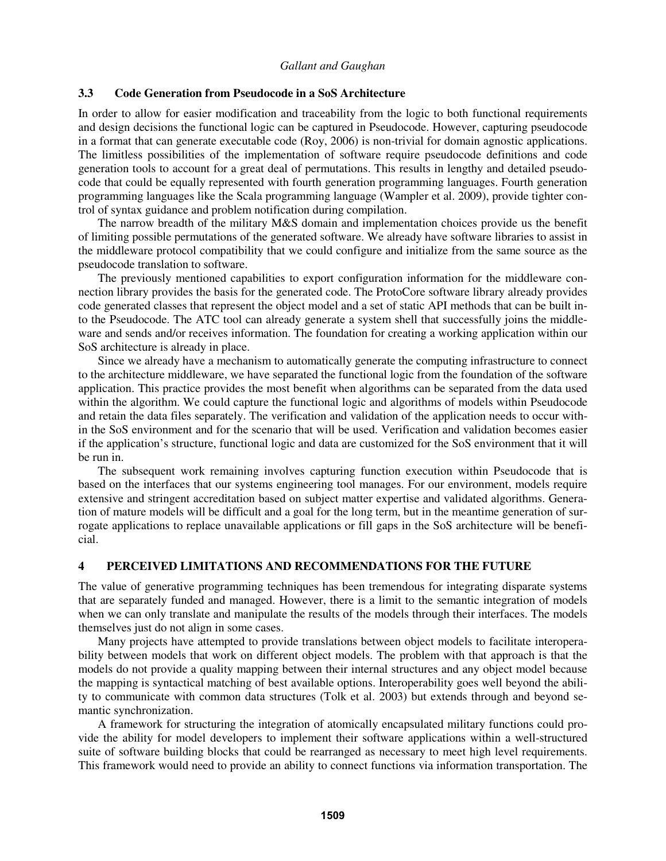#### **3.3 Code Generation from Pseudocode in a SoS Architecture**

In order to allow for easier modification and traceability from the logic to both functional requirements and design decisions the functional logic can be captured in Pseudocode. However, capturing pseudocode in a format that can generate executable code (Roy, 2006) is non-trivial for domain agnostic applications. The limitless possibilities of the implementation of software require pseudocode definitions and code generation tools to account for a great deal of permutations. This results in lengthy and detailed pseudocode that could be equally represented with fourth generation programming languages. Fourth generation programming languages like the Scala programming language (Wampler et al. 2009), provide tighter control of syntax guidance and problem notification during compilation.

 The narrow breadth of the military M&S domain and implementation choices provide us the benefit of limiting possible permutations of the generated software. We already have software libraries to assist in the middleware protocol compatibility that we could configure and initialize from the same source as the pseudocode translation to software.

 The previously mentioned capabilities to export configuration information for the middleware connection library provides the basis for the generated code. The ProtoCore software library already provides code generated classes that represent the object model and a set of static API methods that can be built into the Pseudocode. The ATC tool can already generate a system shell that successfully joins the middleware and sends and/or receives information. The foundation for creating a working application within our SoS architecture is already in place.

 Since we already have a mechanism to automatically generate the computing infrastructure to connect to the architecture middleware, we have separated the functional logic from the foundation of the software application. This practice provides the most benefit when algorithms can be separated from the data used within the algorithm. We could capture the functional logic and algorithms of models within Pseudocode and retain the data files separately. The verification and validation of the application needs to occur within the SoS environment and for the scenario that will be used. Verification and validation becomes easier if the application's structure, functional logic and data are customized for the SoS environment that it will be run in.

 The subsequent work remaining involves capturing function execution within Pseudocode that is based on the interfaces that our systems engineering tool manages. For our environment, models require extensive and stringent accreditation based on subject matter expertise and validated algorithms. Generation of mature models will be difficult and a goal for the long term, but in the meantime generation of surrogate applications to replace unavailable applications or fill gaps in the SoS architecture will be beneficial.

#### **4 PERCEIVED LIMITATIONS AND RECOMMENDATIONS FOR THE FUTURE**

The value of generative programming techniques has been tremendous for integrating disparate systems that are separately funded and managed. However, there is a limit to the semantic integration of models when we can only translate and manipulate the results of the models through their interfaces. The models themselves just do not align in some cases.

Many projects have attempted to provide translations between object models to facilitate interoperability between models that work on different object models. The problem with that approach is that the models do not provide a quality mapping between their internal structures and any object model because the mapping is syntactical matching of best available options. Interoperability goes well beyond the ability to communicate with common data structures (Tolk et al. 2003) but extends through and beyond semantic synchronization.

A framework for structuring the integration of atomically encapsulated military functions could provide the ability for model developers to implement their software applications within a well-structured suite of software building blocks that could be rearranged as necessary to meet high level requirements. This framework would need to provide an ability to connect functions via information transportation. The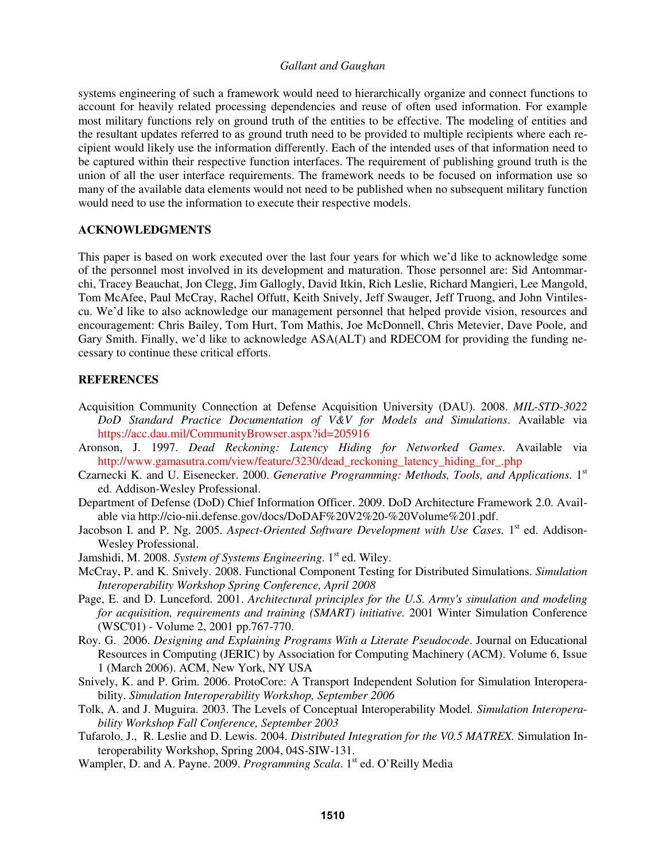systems engineering of such a framework would need to hierarchically organize and connect functions to account for heavily related processing dependencies and reuse of often used information. For example most military functions rely on ground truth of the entities to be effective. The modeling of entities and the resultant updates referred to as ground truth need to be provided to multiple recipients where each recipient would likely use the information differently. Each of the intended uses of that information need to be captured within their respective function interfaces. The requirement of publishing ground truth is the union of all the user interface requirements. The framework needs to be focused on information use so many of the available data elements would not need to be published when no subsequent military function would need to use the information to execute their respective models.

### **ACKNOWLEDGMENTS**

This paper is based on work executed over the last four years for which we'd like to acknowledge some of the personnel most involved in its development and maturation. Those personnel are: Sid Antommarchi, Tracey Beauchat, Jon Clegg, Jim Gallogly, David Itkin, Rich Leslie, Richard Mangieri, Lee Mangold, Tom McAfee, Paul McCray, Rachel Offutt, Keith Snively, Jeff Swauger, Jeff Truong, and John Vintilescu. We'd like to also acknowledge our management personnel that helped provide vision, resources and encouragement: Chris Bailey, Tom Hurt, Tom Mathis, Joe McDonnell, Chris Metevier, Dave Poole, and Gary Smith. Finally, we'd like to acknowledge ASA(ALT) and RDECOM for providing the funding necessary to continue these critical efforts.

### **REFERENCES**

- Acquisition Community Connection at Defense Acquisition University (DAU). 2008. *MIL-STD-3022 DoD Standard Practice Documentation of V&V for Models and Simulations*. Available via https://acc.dau.mil/CommunityBrowser.aspx?id=205916
- Aronson, J. 1997. *Dead Reckoning: Latency Hiding for Networked Games*. Available via http://www.gamasutra.com/view/feature/3230/dead\_reckoning\_latency\_hiding\_for\_.php
- Czarnecki K. and U. Eisenecker. 2000. *Generative Programming: Methods, Tools, and Applications.* 1st ed. Addison-Wesley Professional.
- Department of Defense (DoD) Chief Information Officer. 2009. DoD Architecture Framework 2.0. Available via http://cio-nii.defense.gov/docs/DoDAF%20V2%20-%20Volume%201.pdf.
- Jacobson I. and P. Ng. 2005. *Aspect-Oriented Software Development with Use Cases*. 1<sup>st</sup> ed. Addison-Wesley Professional.
- Jamshidi, M. 2008. System of Systems Engineering. 1<sup>st</sup> ed. Wiley.
- McCray, P. and K. Snively. 2008. Functional Component Testing for Distributed Simulations. *Simulation Interoperability Workshop Spring Conference, April 2008*
- Page, E. and D. Lunceford. 2001. *Architectural principles for the U.S. Army's simulation and modeling for acquisition, requirements and training (SMART) initiative.* 2001 Winter Simulation Conference (WSC'01) - Volume 2, 2001 pp.767-770.
- Roy. G. 2006. *Designing and Explaining Programs With a Literate Pseudocode*. Journal on Educational Resources in Computing (JERIC) by Association for Computing Machinery (ACM). Volume 6, Issue 1 (March 2006). ACM, New York, NY USA
- Snively, K. and P. Grim. 2006. ProtoCore: A Transport Independent Solution for Simulation Interoperability. *Simulation Interoperability Workshop, September 2006*
- Tolk, A. and J. Muguira. 2003. The Levels of Conceptual Interoperability Model*. Simulation Interoperability Workshop Fall Conference, September 2003*
- Tufarolo, J., R. Leslie and D. Lewis. 2004. *Distributed Integration for the V0.5 MATREX.* Simulation Interoperability Workshop, Spring 2004, 04S-SIW-131.
- Wampler, D. and A. Payne. 2009. *Programming Scala*. 1<sup>st</sup> ed. O'Reilly Media